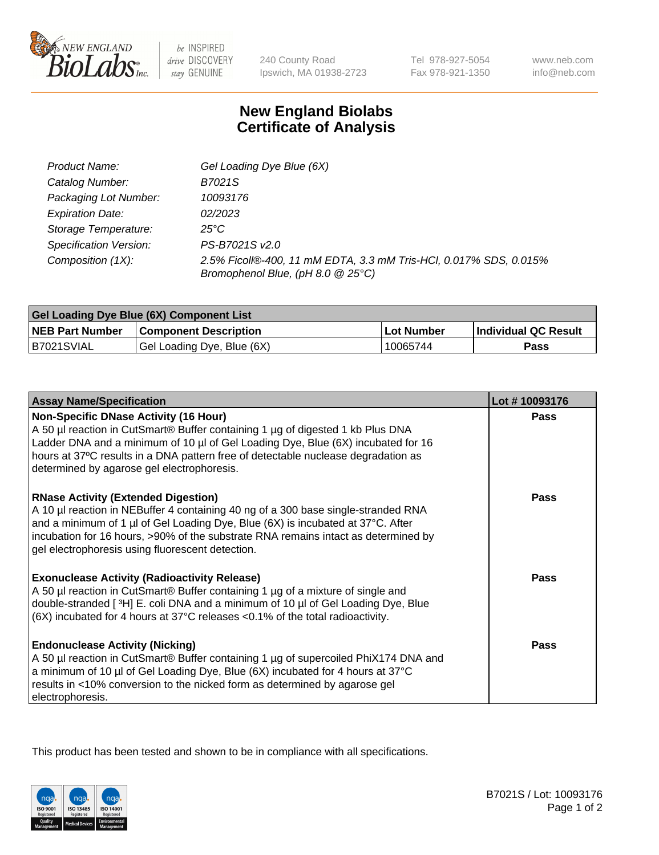

 $be$  INSPIRED drive DISCOVERY stay GENUINE

240 County Road Ipswich, MA 01938-2723 Tel 978-927-5054 Fax 978-921-1350 www.neb.com info@neb.com

## **New England Biolabs Certificate of Analysis**

| Product Name:                 | Gel Loading Dye Blue (6X)                                                                              |
|-------------------------------|--------------------------------------------------------------------------------------------------------|
| Catalog Number:               | B7021S                                                                                                 |
| Packaging Lot Number:         | 10093176                                                                                               |
| <b>Expiration Date:</b>       | 02/2023                                                                                                |
| Storage Temperature:          | $25^{\circ}$ C                                                                                         |
| <b>Specification Version:</b> | PS-B7021S v2.0                                                                                         |
| Composition (1X):             | 2.5% Ficoll®-400, 11 mM EDTA, 3.3 mM Tris-HCl, 0.017% SDS, 0.015%<br>Bromophenol Blue, (pH 8.0 @ 25°C) |

| Gel Loading Dye Blue (6X) Component List |                              |                   |                      |  |
|------------------------------------------|------------------------------|-------------------|----------------------|--|
| <b>NEB Part Number</b>                   | <b>Component Description</b> | <b>Lot Number</b> | Individual QC Result |  |
| B7021SVIAL                               | Gel Loading Dye, Blue (6X)   | 10065744          | Pass                 |  |

| <b>Assay Name/Specification</b>                                                                                                                                                                                                                                                                                                                              | Lot #10093176 |
|--------------------------------------------------------------------------------------------------------------------------------------------------------------------------------------------------------------------------------------------------------------------------------------------------------------------------------------------------------------|---------------|
| <b>Non-Specific DNase Activity (16 Hour)</b><br>A 50 µl reaction in CutSmart® Buffer containing 1 µg of digested 1 kb Plus DNA<br>Ladder DNA and a minimum of 10 µl of Gel Loading Dye, Blue (6X) incubated for 16<br>hours at 37°C results in a DNA pattern free of detectable nuclease degradation as<br>determined by agarose gel electrophoresis.        | <b>Pass</b>   |
| <b>RNase Activity (Extended Digestion)</b><br>A 10 µl reaction in NEBuffer 4 containing 40 ng of a 300 base single-stranded RNA<br>and a minimum of 1 µl of Gel Loading Dye, Blue (6X) is incubated at 37°C. After<br>incubation for 16 hours, >90% of the substrate RNA remains intact as determined by<br>gel electrophoresis using fluorescent detection. | <b>Pass</b>   |
| <b>Exonuclease Activity (Radioactivity Release)</b><br>A 50 µl reaction in CutSmart® Buffer containing 1 µg of a mixture of single and<br>double-stranded [3H] E. coli DNA and a minimum of 10 µl of Gel Loading Dye, Blue<br>$(6X)$ incubated for 4 hours at 37°C releases <0.1% of the total radioactivity.                                                | <b>Pass</b>   |
| <b>Endonuclease Activity (Nicking)</b><br>A 50 µl reaction in CutSmart® Buffer containing 1 µg of supercoiled PhiX174 DNA and<br>a minimum of 10 µl of Gel Loading Dye, Blue (6X) incubated for 4 hours at 37°C<br>results in <10% conversion to the nicked form as determined by agarose gel<br>electrophoresis.                                            | Pass          |

This product has been tested and shown to be in compliance with all specifications.